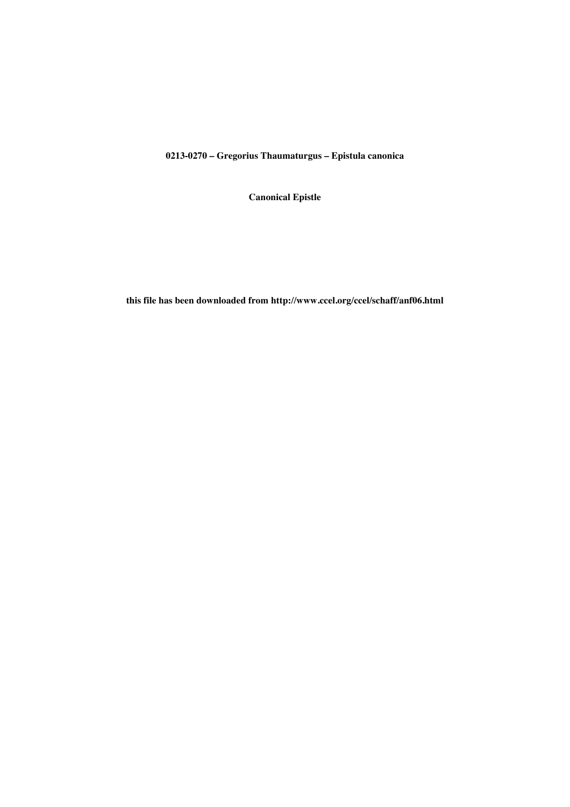**0213-0270 – Gregorius Thaumaturgus – Epistula canonica**

**Canonical Epistle**

**this file has been downloaded from http://www.ccel.org/ccel/schaff/anf06.html**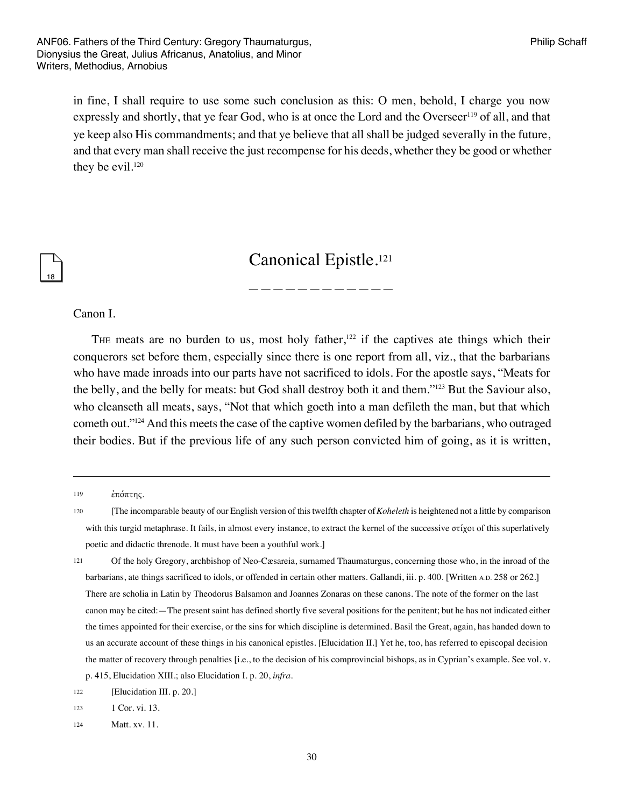in fine, I shall require to use some such conclusion as this: O men, behold, I charge you now expressly and shortly, that ye fear God, who is at once the Lord and the Overseer<sup>119</sup> of all, and that ye keep also His commandments; and that ye believe that all shall be judged severally in the future, and that every man shall receive the just recompense for his deeds, whether they be good or whether they be evil. $120$ 

# Canonical Epistle.121

————————————

Canon I.

[18](http://www.ccel.org/ccel/schaff/anf06/Page_18.html)

THE meats are no burden to us, most holy father,<sup>122</sup> if the captives ate things which their conquerors set before them, especially since there is one report from all, viz., that the barbarians who have made inroads into our parts have not sacrificed to idols. For the apostle says, "Meats for the belly, and the belly for meats: but God shall destroy both it and them."123 But the Saviour also, who cleanseth all meats, says, "Not that which goeth into a man defileth the man, but that which cometh out."124 And this meets the case of the captive women defiled by the barbarians, who outraged their bodies. But if the previous life of any such person convicted him of going, as it is written,

<sup>119</sup> ἐπόπτης.

<sup>120</sup> [The incomparable beauty of our English version of this twelfth chapter of *Koheleth* is heightened not a little by comparison with this turgid metaphrase. It fails, in almost every instance, to extract the kernel of the successive στίχοι of this superlatively poetic and didactic threnode. It must have been a youthful work.]

<sup>121</sup> Of the holy Gregory, archbishop of Neo-Cæsareia, surnamed Thaumaturgus, concerning those who, in the inroad of the barbarians, ate things sacrificed to idols, or offended in certain other matters. Gallandi, iii. p. 400. [Written A.D. 258 or 262.] There are scholia in Latin by Theodorus Balsamon and Joannes Zonaras on these canons. The note of the former on the last canon may be cited:—The present saint has defined shortly five several positions for the penitent; but he has not indicated either the times appointed for their exercise, or the sins for which discipline is determined. Basil the Great, again, has handed down to us an accurate account of these things in his canonical epistles. [Elucidation II.] Yet he, too, has referred to episcopal decision the matter of recovery through penalties [i.e., to the decision of his comprovincial bishops, as in Cyprian's example. See vol. v. p. 415, Elucidation XIII.; also Elucidation I. p. 20, *infra.*

<sup>122</sup> [Elucidation III. p. 20.]

<sup>123</sup> [1 Cor. vi. 13](http://www.ccel.org/ccel/bible/asv.iCor.6.html#iCor.6.13).

<sup>124</sup> [Matt. xv. 11](http://www.ccel.org/ccel/bible/asv.Matt.15.html#Matt.15.11).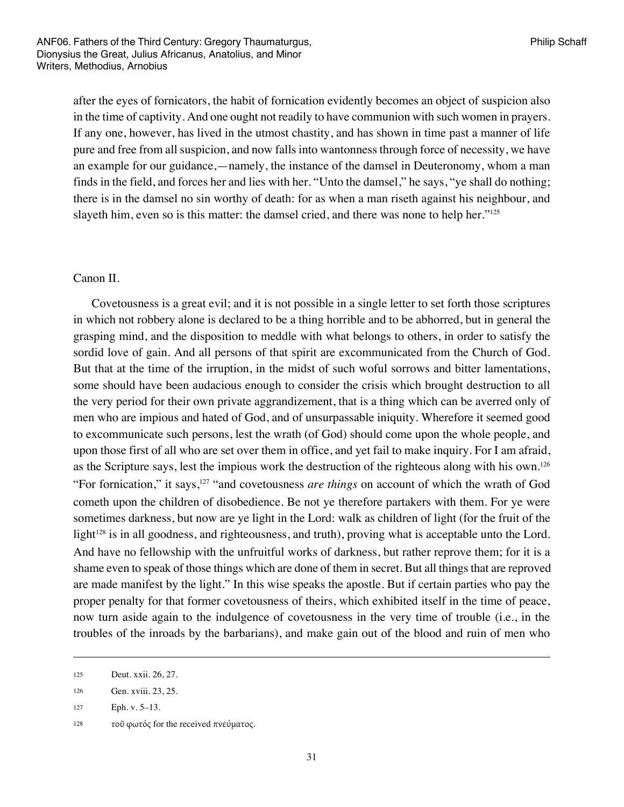after the eyes of fornicators, the habit of fornication evidently becomes an object of suspicion also in the time of captivity. And one ought not readily to have communion with such women in prayers. If any one, however, has lived in the utmost chastity, and has shown in time past a manner of life pure and free from all suspicion, and now falls into wantonness through force of necessity, we have an example for our guidance,—namely, the instance of the damsel in Deuteronomy, whom a man finds in the field, and forces her and lies with her. "Unto the damsel," he says, "ye shall do nothing; there is in the damsel no sin worthy of death: for as when a man riseth against his neighbour, and slayeth him, even so is this matter: the damsel cried, and there was none to help her."<sup>125</sup>

## Canon II.

Covetousness is a great evil; and it is not possible in a single letter to set forth those scriptures in which not robbery alone is declared to be a thing horrible and to be abhorred, but in general the grasping mind, and the disposition to meddle with what belongs to others, in order to satisfy the sordid love of gain. And all persons of that spirit are excommunicated from the Church of God. But that at the time of the irruption, in the midst of such woful sorrows and bitter lamentations, some should have been audacious enough to consider the crisis which brought destruction to all the very period for their own private aggrandizement, that is a thing which can be averred only of men who are impious and hated of God, and of unsurpassable iniquity. Wherefore it seemed good to excommunicate such persons, lest the wrath (of God) should come upon the whole people, and upon those first of all who are set over them in office, and yet fail to make inquiry. For I am afraid, as the Scripture says, lest the impious work the destruction of the righteous along with his own.<sup>126</sup> "For fornication," it says,127 "and covetousness *are things* on account of which the wrath of God cometh upon the children of disobedience. Be not ye therefore partakers with them. For ye were sometimes darkness, but now are ye light in the Lord: walk as children of light (for the fruit of the light<sup> $128$ </sup> is in all goodness, and righteousness, and truth), proving what is acceptable unto the Lord. And have no fellowship with the unfruitful works of darkness, but rather reprove them; for it is a shame even to speak of those things which are done of them in secret. But all things that are reproved are made manifest by the light." In this wise speaks the apostle. But if certain parties who pay the proper penalty for that former covetousness of theirs, which exhibited itself in the time of peace, now turn aside again to the indulgence of covetousness in the very time of trouble (i.e., in the troubles of the inroads by the barbarians), and make gain out of the blood and ruin of men who

<sup>125</sup> [Deut. xxii. 26, 27](http://www.ccel.org/ccel/bible/asv.Deut.22.html#Deut.22.26).

<sup>126</sup> Gen. xviii. 23, 25.

<sup>127</sup> [Eph. v. 5–13](http://www.ccel.org/ccel/bible/asv.Eph.5.html#Eph.5.5).

<sup>128</sup> τοῦ φωτός for the received πνεύματος.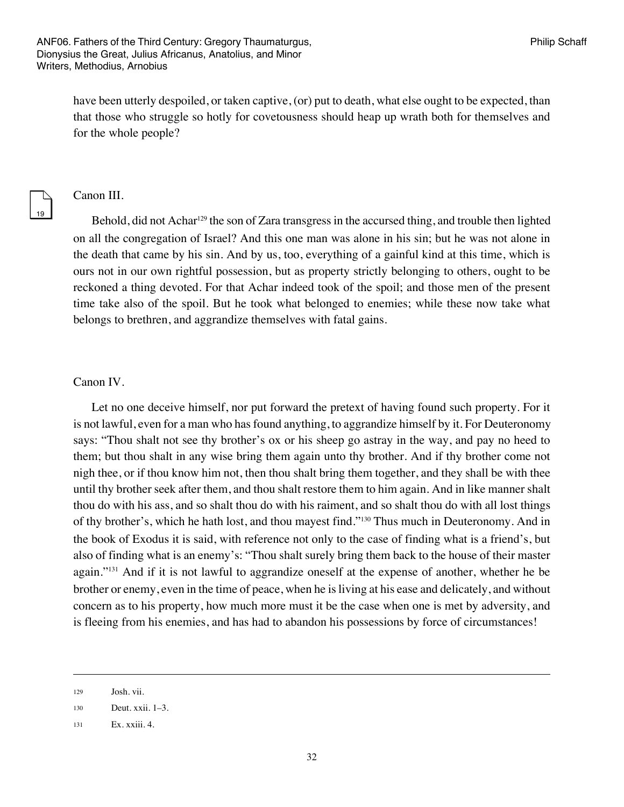have been utterly despoiled, or taken captive, (or) put to death, what else ought to be expected, than that those who struggle so hotly for covetousness should heap up wrath both for themselves and for the whole people?



## Canon III.

Behold, did not Achar<sup>129</sup> the son of Zara transgress in the accursed thing, and trouble then lighted on all the congregation of Israel? And this one man was alone in his sin; but he was not alone in the death that came by his sin. And by us, too, everything of a gainful kind at this time, which is ours not in our own rightful possession, but as property strictly belonging to others, ought to be reckoned a thing devoted. For that Achar indeed took of the spoil; and those men of the present time take also of the spoil. But he took what belonged to enemies; while these now take what belongs to brethren, and aggrandize themselves with fatal gains.

## Canon IV.

Let no one deceive himself, nor put forward the pretext of having found such property. For it is not lawful, even for a man who has found anything, to aggrandize himself by it. For Deuteronomy says: "Thou shalt not see thy brother's ox or his sheep go astray in the way, and pay no heed to them; but thou shalt in any wise bring them again unto thy brother. And if thy brother come not nigh thee, or if thou know him not, then thou shalt bring them together, and they shall be with thee until thy brother seek after them, and thou shalt restore them to him again. And in like manner shalt thou do with his ass, and so shalt thou do with his raiment, and so shalt thou do with all lost things of thy brother's, which he hath lost, and thou mayest find."130 Thus much in Deuteronomy. And in the book of Exodus it is said, with reference not only to the case of finding what is a friend's, but also of finding what is an enemy's: "Thou shalt surely bring them back to the house of their master again."131 And if it is not lawful to aggrandize oneself at the expense of another, whether he be brother or enemy, even in the time of peace, when he is living at his ease and delicately, and without concern as to his property, how much more must it be the case when one is met by adversity, and is fleeing from his enemies, and has had to abandon his possessions by force of circumstances!

<sup>129</sup> [Josh. vii](http://www.ccel.org/ccel/bible/asv.Josh..html#Josh..).

<sup>130</sup> [Deut. xxii. 1–3](http://www.ccel.org/ccel/bible/asv.Deut.22.html#Deut.22.1).

<sup>131</sup> [Ex. xxiii. 4](http://www.ccel.org/ccel/bible/asv.Exod.23.html#Exod.23.4).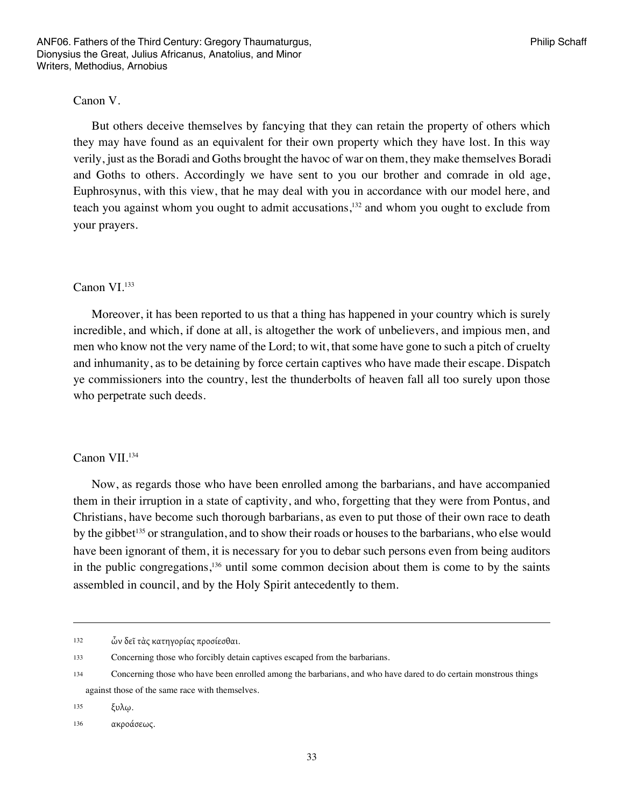## Canon V.

But others deceive themselves by fancying that they can retain the property of others which they may have found as an equivalent for their own property which they have lost. In this way verily, just as the Boradi and Goths brought the havoc of war on them, they make themselves Boradi and Goths to others. Accordingly we have sent to you our brother and comrade in old age, Euphrosynus, with this view, that he may deal with you in accordance with our model here, and teach you against whom you ought to admit accusations,<sup>132</sup> and whom you ought to exclude from your prayers.

## Canon VI.133

Moreover, it has been reported to us that a thing has happened in your country which is surely incredible, and which, if done at all, is altogether the work of unbelievers, and impious men, and men who know not the very name of the Lord; to wit, that some have gone to such a pitch of cruelty and inhumanity, as to be detaining by force certain captives who have made their escape. Dispatch ye commissioners into the country, lest the thunderbolts of heaven fall all too surely upon those who perpetrate such deeds.

## Canon VII.134

Now, as regards those who have been enrolled among the barbarians, and have accompanied them in their irruption in a state of captivity, and who, forgetting that they were from Pontus, and Christians, have become such thorough barbarians, as even to put those of their own race to death by the gibbet<sup>135</sup> or strangulation, and to show their roads or houses to the barbarians, who else would have been ignorant of them, it is necessary for you to debar such persons even from being auditors in the public congregations, $136$  until some common decision about them is come to by the saints assembled in council, and by the Holy Spirit antecedently to them.

<sup>132</sup> ὧν δεῖ τὰς κατηγορίας προσίεσθαι.

<sup>133</sup> Concerning those who forcibly detain captives escaped from the barbarians.

<sup>134</sup> Concerning those who have been enrolled among the barbarians, and who have dared to do certain monstrous things against those of the same race with themselves.

<sup>135</sup> ξυλῳ.

<sup>136</sup> ακροάσεως.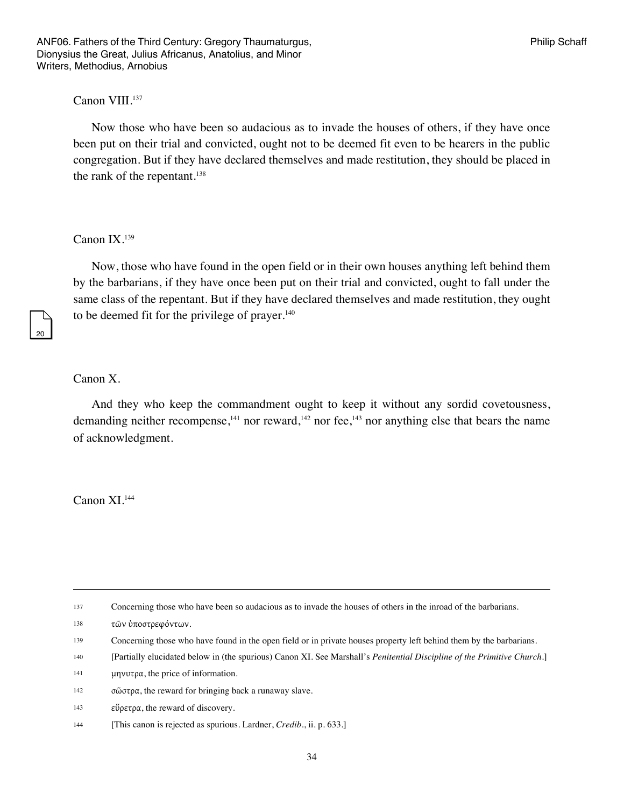ANF06. Fathers of the Third Century: Gregory Thaumaturgus, National Communications of the Thilip Schaff Dionysius the Great, Julius Africanus, Anatolius, and Minor Writers, Methodius, Arnobius

## Canon VIII.<sup>137</sup>

Now those who have been so audacious as to invade the houses of others, if they have once been put on their trial and convicted, ought not to be deemed fit even to be hearers in the public congregation. But if they have declared themselves and made restitution, they should be placed in the rank of the repentant.<sup>138</sup>

#### Canon IX.139

Now, those who have found in the open field or in their own houses anything left behind them by the barbarians, if they have once been put on their trial and convicted, ought to fall under the same class of the repentant. But if they have declared themselves and made restitution, they ought to be deemed fit for the privilege of prayer.<sup>140</sup>

#### Canon X.

[20](http://www.ccel.org/ccel/schaff/anf06/Page_20.html)

And they who keep the commandment ought to keep it without any sordid covetousness, demanding neither recompense,<sup>141</sup> nor reward,<sup>142</sup> nor fee,<sup>143</sup> nor anything else that bears the name of acknowledgment.

Canon XI.144

<sup>137</sup> Concerning those who have been so audacious as to invade the houses of others in the inroad of the barbarians.

<sup>138</sup> τῶν ὑποστρεφόντων.

<sup>139</sup> Concerning those who have found in the open field or in private houses property left behind them by the barbarians.

<sup>140</sup> [Partially elucidated below in (the spurious) Canon XI. See Marshall's *Penitential Discipline of the Primitive Church.*]

<sup>141</sup> μηνυτρα, the price of information.

<sup>142</sup>  $\sigma \tilde{\omega} \sigma \tau \rho \alpha$ , the reward for bringing back a runaway slave.

<sup>143</sup> εὕρετρα, the reward of discovery.

<sup>144</sup> [This canon is rejected as spurious. Lardner, *Credib.*, ii. p. 633.]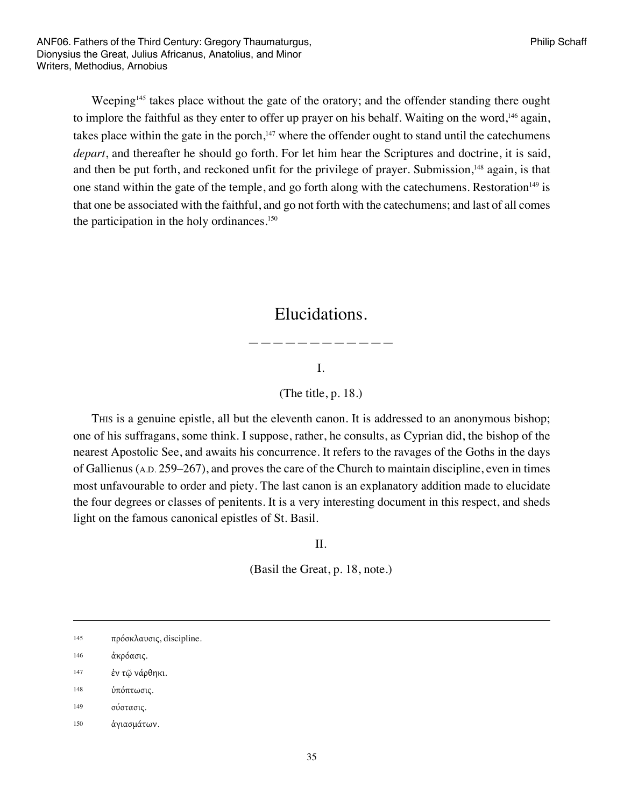Weeping<sup>145</sup> takes place without the gate of the oratory; and the offender standing there ought to implore the faithful as they enter to offer up prayer on his behalf. Waiting on the word,<sup>146</sup> again, takes place within the gate in the porch, $147$  where the offender ought to stand until the catechumens *depart*, and thereafter he should go forth. For let him hear the Scriptures and doctrine, it is said, and then be put forth, and reckoned unfit for the privilege of prayer. Submission,<sup>148</sup> again, is that one stand within the gate of the temple, and go forth along with the catechumens. Restoration<sup>149</sup> is that one be associated with the faithful, and go not forth with the catechumens; and last of all comes the participation in the holy ordinances. $150$ 

# Elucidations.

————————————

## I.

## (The title, p. 18.)

This is a genuine epistle, all but the eleventh canon. It is addressed to an anonymous bishop; one of his suffragans, some think. I suppose, rather, he consults, as Cyprian did, the bishop of the nearest Apostolic See, and awaits his concurrence. It refers to the ravages of the Goths in the days of Gallienus (A.D. 259–267), and proves the care of the Church to maintain discipline, even in times most unfavourable to order and piety. The last canon is an explanatory addition made to elucidate the four degrees or classes of penitents. It is a very interesting document in this respect, and sheds light on the famous canonical epistles of St. Basil.

II.

(Basil the Great, p. 18, note.)

- <sup>147</sup> ἐν τῷ νάρθηκι.
- <sup>148</sup> ὑπόπτωσις.
- <sup>149</sup> σύστασις.
- <sup>150</sup> ἁγιασμάτων.

<sup>145</sup> πρόσκλαυσις, discipline.

<sup>146</sup> ἀκρόασις.